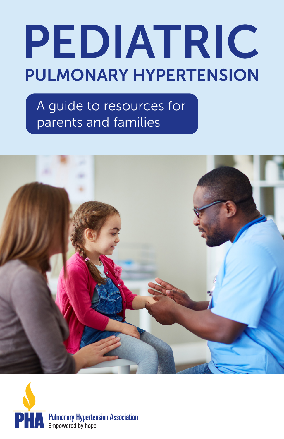# PEDIATRIC **PULMONARY HYPERTENSION**

A guide to resources for parents and families



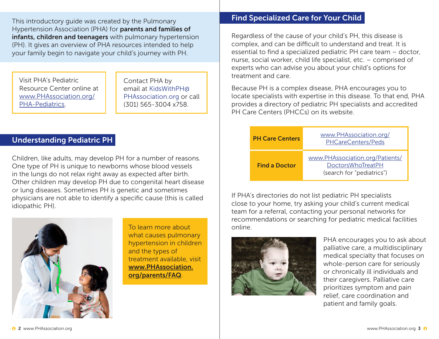This introductory guide was created by the Pulmonary Hypertension Association (PHA) for **parents and families of** infants, children and teenagers with pulmonary hypertension (PH). It gives an overview of PHA resources intended to help your family begin to navigate your child's journey with PH.

Visit PHA's Pediatric Resource Center online at [www.PHAssociation.org/](http://www.PHAssociation.org/PHA-Pediatrics) [PHA-Pediatrics](http://www.PHAssociation.org/PHA-Pediatrics).

Contact PHA by email at [KidsWithPH@](mailto:KidsWithPH%40PHAssociation.org?subject=) [PHAssociation.org](mailto:KidsWithPH%40PHAssociation.org?subject=) or call (301) 565-3004 x758.

# Understanding Pediatric PH

Children, like adults, may develop PH for a number of reasons. One type of PH is unique to newborns whose blood vessels in the lungs do not relax right away as expected after birth. Other children may develop PH due to congenital heart disease or lung diseases. Sometimes PH is genetic and sometimes physicians are not able to identify a specific cause (this is called idiopathic PH).



To learn more about what causes pulmonary hypertension in children and the types of treatment available, visit [www.PHAssociation.](http://www.PHAssociation.org/parents/FAQ) [org/parents/FAQ](http://www.PHAssociation.org/parents/FAQ).

## Find Specialized Care for Your Child

Regardless of the cause of your child's PH, this disease is complex, and can be difficult to understand and treat. It is essential to find a specialized pediatric PH care team – doctor, nurse, social worker, child life specialist, etc. – comprised of experts who can advise you about your child's options for treatment and care.

Because PH is a complex disease, PHA encourages you to locate specialists with expertise in this disease. To that end, PHA provides a directory of pediatric PH specialists and accredited PH Care Centers (PHCCs) on its website.

| <b>PH Care Centers</b> | www.PHAssociation.org/<br>PHCareCenters/Peds                                             |
|------------------------|------------------------------------------------------------------------------------------|
| <b>Find a Doctor</b>   | www.PHAssociation.org/Patients/<br><b>DoctorsWhoTreatPH</b><br>(search for "pediatrics") |

If PHA's directories do not list pediatric PH specialists close to your home, try asking your child's current medical team for a referral, contacting your personal networks for recommendations or searching for pediatric medical facilities online.



PHA encourages you to ask about palliative care, a multidisciplinary medical specialty that focuses on whole-person care for seriously or chronically ill individuals and their caregivers. Palliative care prioritizes symptom and pain relief, care coordination and patient and family goals.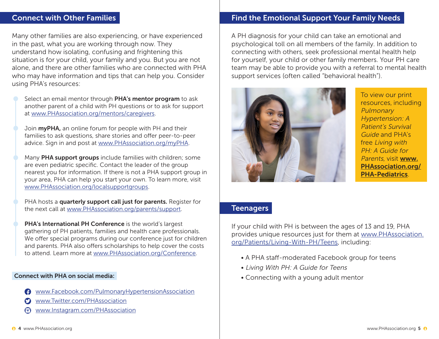## Connect with Other Families

Many other families are also experiencing, or have experienced in the past, what you are working through now. They understand how isolating, confusing and frightening this situation is for your child, your family and you. But you are not alone, and there are other families who are connected with PHA who may have information and tips that can help you. Consider using PHA's resources:

Select an email mentor through PHA's mentor program to ask another parent of a child with PH questions or to ask for support at [www.PHAssociation.org/mentors/caregivers.](http://www.PHAssociation.org/mentors/caregivers)

Join **myPHA**, an online forum for people with PH and their families to ask questions, share stories and offer peer-to-peer advice. Sign in and post at [www.PHAssociation.org/myPHA.](http://www.PHAssociation.org/myPHA)

Many PHA support groups include families with children; some are even pediatric specific. Contact the leader of the group nearest you for information. If there is not a PHA support group in your area, PHA can help you start your own. To learn more, visit [www.PHAssociation.org/localsupportgroups](http://www.PHAssociation.org/localsupportgroups).

PHA hosts a quarterly support call just for parents. Register for the next call at [www.PHAssociation.org/parents/support](http://www.PHAssociation.org/parents/support).

PHA's International PH Conference is the world's largest gathering of PH patients, families and health care professionals. We offer special programs during our conference just for children and parents. PHA also offers scholarships to help cover the costs to attend. Learn more at [www.PHAssociation.org/Conference](http://www.PHAssociation.org/Conference).

#### Connect with PHA on social media:

- [www.Facebook.com/PulmonaryHypertensionAssociation](http://www.Facebook.com/PulmonaryHypertensionAssociation )
- [www.Twitter.com/PHAssociation](http://www.Twitter.com/PHAssociation)
- [www.Instagram.com/PHAssociation](http://www.Instagram.com/PHAssociation)

## Find the Emotional Support Your Family Needs

A PH diagnosis for your child can take an emotional and psychological toll on all members of the family. In addition to connecting with others, seek professional mental health help for yourself, your child or other family members. Your PH care team may be able to provide you with a referral to mental health support services (often called "behavioral health").



To view our print resources, including **Pulmonary** Hypertension: A Patient's Survival Guide and PHA's free Living with PH: A Guide for Parents, visit [www.](http://www.PHAssociation.org/PHA-Pediatrics) [PHAssociation.org/](http://www.PHAssociation.org/PHA-Pediatrics) [PHA-Pediatrics](http://www.PHAssociation.org/PHA-Pediatrics).

## **Teenagers**

If your child with PH is between the ages of 13 and 19, PHA provides unique resources just for them at [www.PHAssociation.](http://www.PHAssociation.org/Patients/Living-With-PH/Teens) [org/Patients/Living-With-PH/Teens](http://www.PHAssociation.org/Patients/Living-With-PH/Teens), including:

- A PHA staff-moderated Facebook group for teens
- Living With PH: A Guide for Teens
- Connecting with a young adult mentor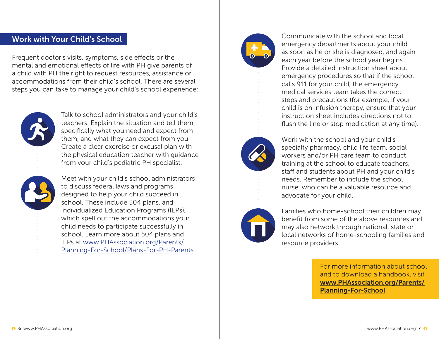# Work with Your Child's School

Frequent doctor's visits, symptoms, side effects or the mental and emotional effects of life with PH give parents of a child with PH the right to request resources, assistance or accommodations from their child's school. There are several steps you can take to manage your child's school experience:



Talk to school administrators and your child's teachers. Explain the situation and tell them specifically what you need and expect from them, and what they can expect from you. Create a clear exercise or excusal plan with the physical education teacher with guidance from your child's pediatric PH specialist.

Meet with your child's school administrators to discuss federal laws and programs designed to help your child succeed in school. These include 504 plans, and Individualized Education Programs (IEPs), which spell out the accommodations your child needs to participate successfully in school. Learn more about 504 plans and IEPs at [www.PHAssociation.org/Parents/](http://www.PHAssociation.org/Parents/Planning-For-School/Plans-For-PH-Parents) [Planning-For-School/Plans-For-PH-Parents](http://www.PHAssociation.org/Parents/Planning-For-School/Plans-For-PH-Parents).



Communicate with the school and local emergency departments about your child as soon as he or she is diagnosed, and again each year before the school year begins. Provide a detailed instruction sheet about emergency procedures so that if the school calls 911 for your child, the emergency medical services team takes the correct steps and precautions (for example, if your child is on infusion therapy, ensure that your instruction sheet includes directions not to flush the line or stop medication at any time).



Work with the school and your child's specialty pharmacy, child life team, social workers and/or PH care team to conduct training at the school to educate teachers, staff and students about PH and your child's needs. Remember to include the school nurse, who can be a valuable resource and advocate for your child.



Families who home-school their children may benefit from some of the above resources and may also network through national, state or local networks of home-schooling families and resource providers.

> For more information about school and to download a handbook, visit [www.PHAssociation.org/Parents/](http://www.PHAssociation.org/Parents/Planning-For-School) [Planning-For-School](http://www.PHAssociation.org/Parents/Planning-For-School).